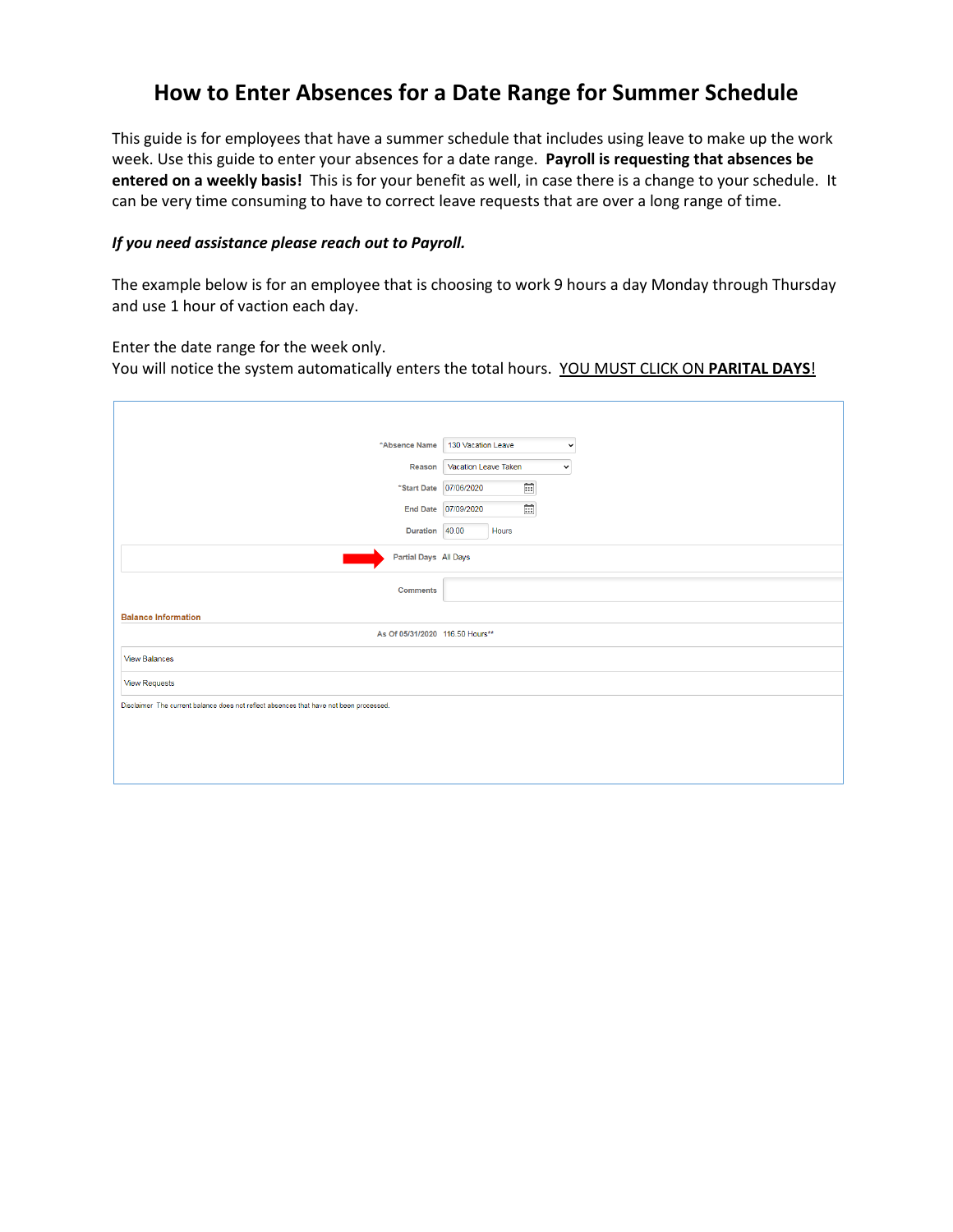## **How to Enter Absences for a Date Range for Summer Schedule**

This guide is for employees that have a summer schedule that includes using leave to make up the work week. Use this guide to enter your absences for a date range. **Payroll is requesting that absences be entered on a weekly basis!** This is for your benefit as well, in case there is a change to your schedule. It can be very time consuming to have to correct leave requests that are over a long range of time.

## *If you need assistance please reach out to Payroll.*

The example below is for an employee that is choosing to work 9 hours a day Monday through Thursday and use 1 hour of vaction each day.

Enter the date range for the week only. You will notice the system automatically enters the total hours. YOU MUST CLICK ON **PARITAL DAYS**!

| *Absence Name                                                                          | 130 Vacation Leave<br>$\check{ }$        |  |  |  |  |  |
|----------------------------------------------------------------------------------------|------------------------------------------|--|--|--|--|--|
| Reason                                                                                 | Vacation Leave Taken<br>$\check{~}$      |  |  |  |  |  |
|                                                                                        | 曲<br>*Start Date 07/06/2020              |  |  |  |  |  |
|                                                                                        | $\widetilde{\Xi}$<br>End Date 07/09/2020 |  |  |  |  |  |
| Duration 40.00                                                                         | Hours                                    |  |  |  |  |  |
| Partial Days All Days                                                                  |                                          |  |  |  |  |  |
| <b>Comments</b>                                                                        |                                          |  |  |  |  |  |
| <b>Balance Information</b>                                                             |                                          |  |  |  |  |  |
| As Of 05/31/2020 116.50 Hours**                                                        |                                          |  |  |  |  |  |
| <b>View Balances</b>                                                                   |                                          |  |  |  |  |  |
| <b>View Requests</b>                                                                   |                                          |  |  |  |  |  |
| Disclaimer The current balance does not reflect absences that have not been processed. |                                          |  |  |  |  |  |
|                                                                                        |                                          |  |  |  |  |  |
|                                                                                        |                                          |  |  |  |  |  |
|                                                                                        |                                          |  |  |  |  |  |
|                                                                                        |                                          |  |  |  |  |  |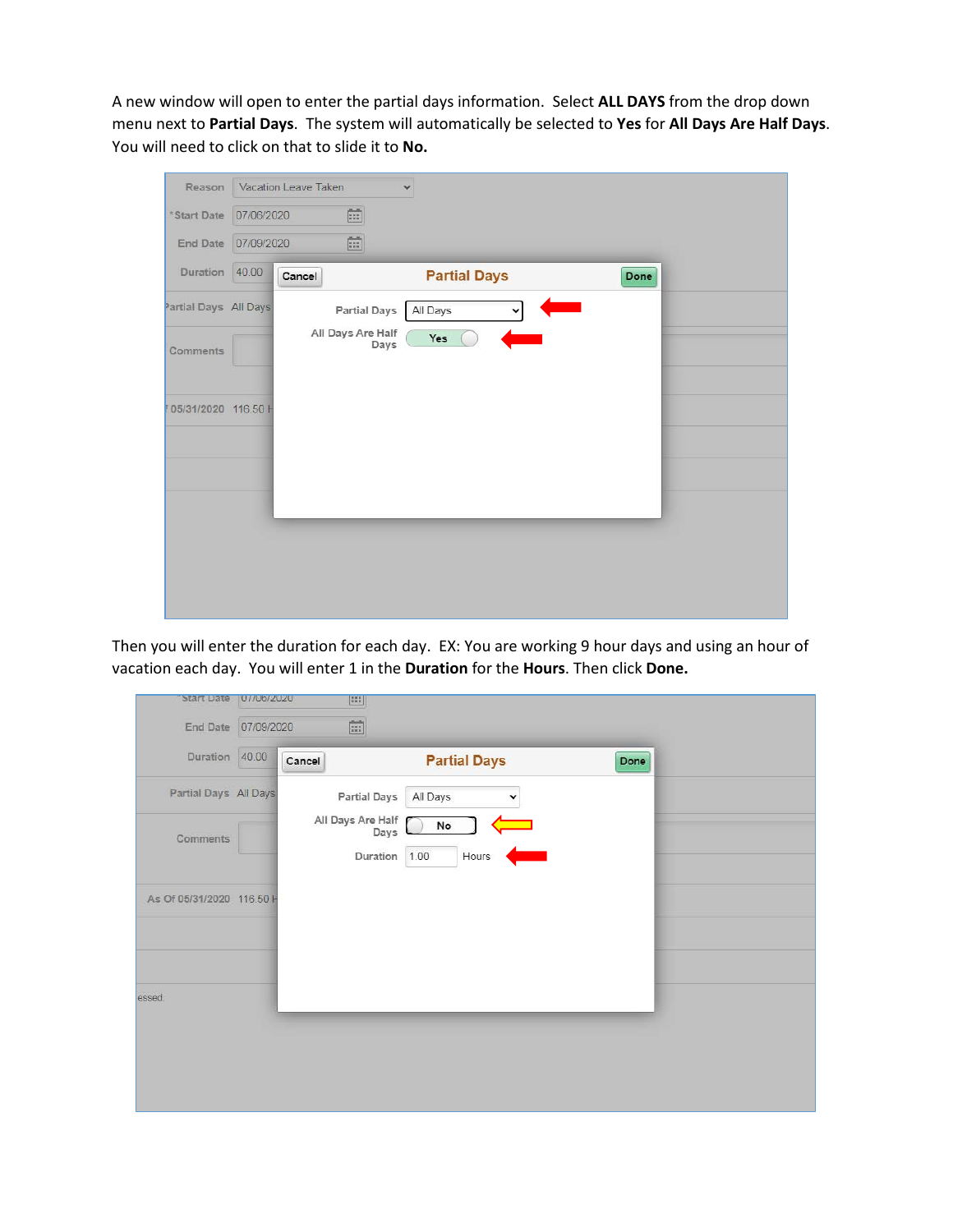A new window will open to enter the partial days information. Select **ALL DAYS** from the drop down menu next to **Partial Days**. The system will automatically be selected to **Yes** for **All Days Are Half Days**. You will need to click on that to slide it to **No.**

| Reason                |            | Vacation Leave Taken |                     | $\checkmark$        |             |      |  |
|-----------------------|------------|----------------------|---------------------|---------------------|-------------|------|--|
| *Start Date           | 07/06/2020 |                      | $\mathbb{R}$        |                     |             |      |  |
| End Date              | 07/09/2020 |                      |                     |                     |             |      |  |
| Duration 40.00        |            | Cancel               |                     | <b>Partial Days</b> |             | Done |  |
| Partial Days All Days |            |                      | <b>Partial Days</b> | All Days            | $\check{~}$ |      |  |
| Comments              |            |                      | All Days Are Half   | Yes<br>Days         |             |      |  |
| 05/31/2020 116.50 H   |            |                      |                     |                     |             |      |  |
|                       |            |                      |                     |                     |             |      |  |
|                       |            |                      |                     |                     |             |      |  |
|                       |            |                      |                     |                     |             |      |  |
|                       |            |                      |                     |                     |             |      |  |

Then you will enter the duration for each day. EX: You are working 9 hour days and using an hour of vacation each day. You will enter 1 in the **Duration** for the **Hours**. Then click **Done.**

| Start Date                                                            | 07/06/2020<br><b>HE</b>                                                                                                       |
|-----------------------------------------------------------------------|-------------------------------------------------------------------------------------------------------------------------------|
| End Date 07/09/2020                                                   | 簡                                                                                                                             |
| Duration 40.00                                                        | <b>Partial Days</b><br>Cancel<br>Done                                                                                         |
| Partial Days All Days<br><b>Comments</b><br>As Of 05/31/2020 116.50 H | <b>Partial Days</b><br>All Days<br>v<br>All Days Are Half<br>$\mathsf{No}$<br>Days<br>$\sqrt{ }$<br>Hours<br>Duration<br>1.00 |
| essed.                                                                |                                                                                                                               |